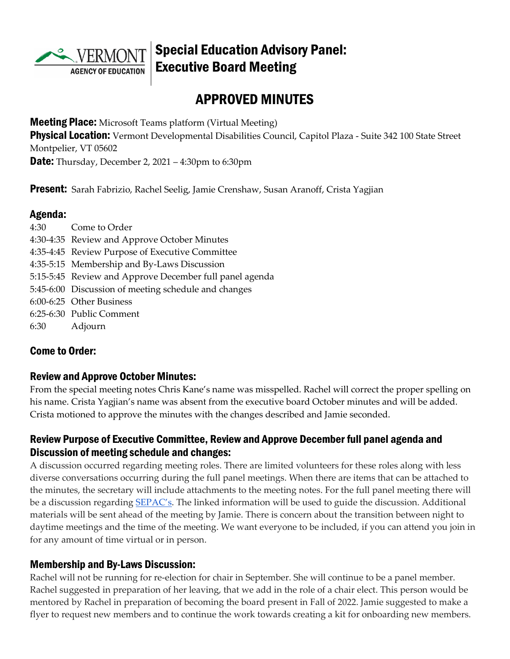

## Special Education Advisory Panel: Executive Board Meeting

# APPROVED MINUTES

**Meeting Place:** Microsoft Teams platform (Virtual Meeting)

**Physical Location:** Vermont Developmental Disabilities Council, Capitol Plaza - Suite 342 100 State Street Montpelier, VT 05602

**Date:** Thursday, December 2, 2021 – 4:30pm to 6:30pm

**Present:** Sarah Fabrizio, Rachel Seelig, Jamie Crenshaw, Susan Aranoff, Crista Yagjian

#### Agenda:

| 4:30 Come to Order                                      |
|---------------------------------------------------------|
| 4:30-4:35 Review and Approve October Minutes            |
| 4:35-4:45 Review Purpose of Executive Committee         |
| 4:35-5:15 Membership and By-Laws Discussion             |
| 5:15-5:45 Review and Approve December full panel agenda |
| 5:45-6:00 Discussion of meeting schedule and changes    |
| 6:00-6:25 Other Business                                |
| 6:25-6:30 Public Comment                                |
| 6:30 Adjourn                                            |
|                                                         |

#### Come to Order:

#### Review and Approve October Minutes:

From the special meeting notes Chris Kane's name was misspelled. Rachel will correct the proper spelling on his name. Crista Yagjian's name was absent from the executive board October minutes and will be added. Crista motioned to approve the minutes with the changes described and Jamie seconded.

#### Review Purpose of Executive Committee, Review and Approve December full panel agenda and Discussion of meeting schedule and changes:

A discussion occurred regarding meeting roles. There are limited volunteers for these roles along with less diverse conversations occurring during the full panel meetings. When there are items that can be attached to the minutes, the secretary will include attachments to the meeting notes. For the full panel meeting there will be a discussion regarding [SEPAC's.](https://sepacguide.parentcenterhub.org/) The linked information will be used to guide the discussion. Additional materials will be sent ahead of the meeting by Jamie. There is concern about the transition between night to daytime meetings and the time of the meeting. We want everyone to be included, if you can attend you join in for any amount of time virtual or in person.

#### Membership and By-Laws Discussion:

Rachel will not be running for re-election for chair in September. She will continue to be a panel member. Rachel suggested in preparation of her leaving, that we add in the role of a chair elect. This person would be mentored by Rachel in preparation of becoming the board present in Fall of 2022. Jamie suggested to make a flyer to request new members and to continue the work towards creating a kit for onboarding new members.